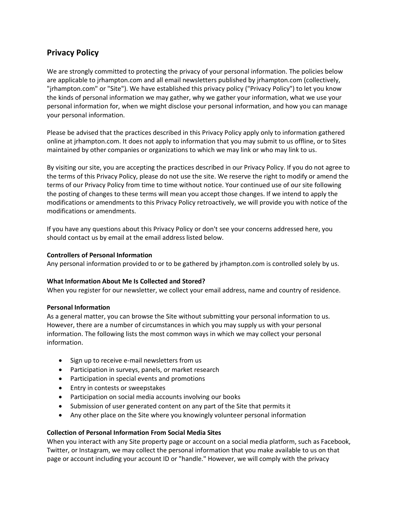# **Privacy Policy**

We are strongly committed to protecting the privacy of your personal information. The policies below are applicable to jrhampton.com and all email newsletters published by jrhampton.com (collectively, "jrhampton.com" or "Site"). We have established this privacy policy ("Privacy Policy") to let you know the kinds of personal information we may gather, why we gather your information, what we use your personal information for, when we might disclose your personal information, and how you can manage your personal information.

Please be advised that the practices described in this Privacy Policy apply only to information gathered online at jrhampton.com. It does not apply to information that you may submit to us offline, or to Sites maintained by other companies or organizations to which we may link or who may link to us.

By visiting our site, you are accepting the practices described in our Privacy Policy. If you do not agree to the terms of this Privacy Policy, please do not use the site. We reserve the right to modify or amend the terms of our Privacy Policy from time to time without notice. Your continued use of our site following the posting of changes to these terms will mean you accept those changes. If we intend to apply the modifications or amendments to this Privacy Policy retroactively, we will provide you with notice of the modifications or amendments.

If you have any questions about this Privacy Policy or don't see your concerns addressed here, you should contact us by email at the email address listed below.

## **Controllers of Personal Information**

Any personal information provided to or to be gathered by jrhampton.com is controlled solely by us.

# **What Information About Me Is Collected and Stored?**

When you register for our newsletter, we collect your email address, name and country of residence.

#### **Personal Information**

As a general matter, you can browse the Site without submitting your personal information to us. However, there are a number of circumstances in which you may supply us with your personal information. The following lists the most common ways in which we may collect your personal information.

- Sign up to receive e-mail newsletters from us
- Participation in surveys, panels, or market research
- Participation in special events and promotions
- Entry in contests or sweepstakes
- Participation on social media accounts involving our books
- Submission of user generated content on any part of the Site that permits it
- Any other place on the Site where you knowingly volunteer personal information

#### **Collection of Personal Information From Social Media Sites**

When you interact with any Site property page or account on a social media platform, such as Facebook, Twitter, or Instagram, we may collect the personal information that you make available to us on that page or account including your account ID or "handle." However, we will comply with the privacy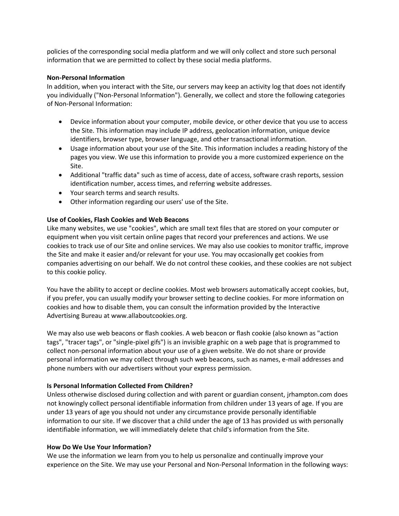policies of the corresponding social media platform and we will only collect and store such personal information that we are permitted to collect by these social media platforms.

#### **Non-Personal Information**

In addition, when you interact with the Site, our servers may keep an activity log that does not identify you individually ("Non-Personal Information"). Generally, we collect and store the following categories of Non-Personal Information:

- Device information about your computer, mobile device, or other device that you use to access the Site. This information may include IP address, geolocation information, unique device identifiers, browser type, browser language, and other transactional information.
- Usage information about your use of the Site. This information includes a reading history of the pages you view. We use this information to provide you a more customized experience on the Site.
- Additional "traffic data" such as time of access, date of access, software crash reports, session identification number, access times, and referring website addresses.
- Your search terms and search results.
- Other information regarding our users' use of the Site.

# **Use of Cookies, Flash Cookies and Web Beacons**

Like many websites, we use "cookies", which are small text files that are stored on your computer or equipment when you visit certain online pages that record your preferences and actions. We use cookies to track use of our Site and online services. We may also use cookies to monitor traffic, improve the Site and make it easier and/or relevant for your use. You may occasionally get cookies from companies advertising on our behalf. We do not control these cookies, and these cookies are not subject to this cookie policy.

You have the ability to accept or decline cookies. Most web browsers automatically accept cookies, but, if you prefer, you can usually modify your browser setting to decline cookies. For more information on cookies and how to disable them, you can consult the information provided by the Interactive Advertising Bureau at www.allaboutcookies.org.

We may also use web beacons or flash cookies. A web beacon or flash cookie (also known as "action tags", "tracer tags", or "single-pixel gifs") is an invisible graphic on a web page that is programmed to collect non-personal information about your use of a given website. We do not share or provide personal information we may collect through such web beacons, such as names, e-mail addresses and phone numbers with our advertisers without your express permission.

# **Is Personal Information Collected From Children?**

Unless otherwise disclosed during collection and with parent or guardian consent, jrhampton.com does not knowingly collect personal identifiable information from children under 13 years of age. If you are under 13 years of age you should not under any circumstance provide personally identifiable information to our site. If we discover that a child under the age of 13 has provided us with personally identifiable information, we will immediately delete that child's information from the Site.

# **How Do We Use Your Information?**

We use the information we learn from you to help us personalize and continually improve your experience on the Site. We may use your Personal and Non-Personal Information in the following ways: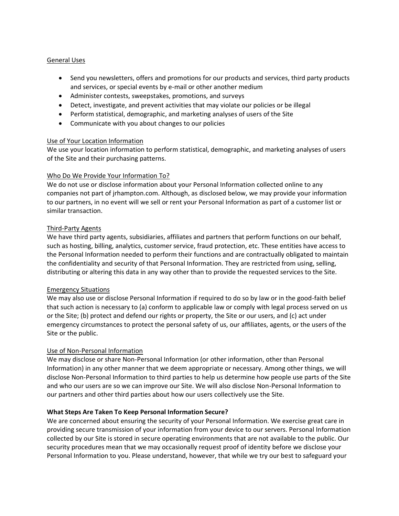# General Uses

- Send you newsletters, offers and promotions for our products and services, third party products and services, or special events by e-mail or other another medium
- Administer contests, sweepstakes, promotions, and surveys
- Detect, investigate, and prevent activities that may violate our policies or be illegal
- Perform statistical, demographic, and marketing analyses of users of the Site
- Communicate with you about changes to our policies

## Use of Your Location Information

We use your location information to perform statistical, demographic, and marketing analyses of users of the Site and their purchasing patterns.

## Who Do We Provide Your Information To?

We do not use or disclose information about your Personal Information collected online to any companies not part of jrhampton.com. Although, as disclosed below, we may provide your information to our partners, in no event will we sell or rent your Personal Information as part of a customer list or similar transaction.

## Third-Party Agents

We have third party agents, subsidiaries, affiliates and partners that perform functions on our behalf, such as hosting, billing, analytics, customer service, fraud protection, etc. These entities have access to the Personal Information needed to perform their functions and are contractually obligated to maintain the confidentiality and security of that Personal Information. They are restricted from using, selling, distributing or altering this data in any way other than to provide the requested services to the Site.

# Emergency Situations

We may also use or disclose Personal Information if required to do so by law or in the good-faith belief that such action is necessary to (a) conform to applicable law or comply with legal process served on us or the Site; (b) protect and defend our rights or property, the Site or our users, and (c) act under emergency circumstances to protect the personal safety of us, our affiliates, agents, or the users of the Site or the public.

# Use of Non-Personal Information

We may disclose or share Non-Personal Information (or other information, other than Personal Information) in any other manner that we deem appropriate or necessary. Among other things, we will disclose Non-Personal Information to third parties to help us determine how people use parts of the Site and who our users are so we can improve our Site. We will also disclose Non-Personal Information to our partners and other third parties about how our users collectively use the Site.

# **What Steps Are Taken To Keep Personal Information Secure?**

We are concerned about ensuring the security of your Personal Information. We exercise great care in providing secure transmission of your information from your device to our servers. Personal Information collected by our Site is stored in secure operating environments that are not available to the public. Our security procedures mean that we may occasionally request proof of identity before we disclose your Personal Information to you. Please understand, however, that while we try our best to safeguard your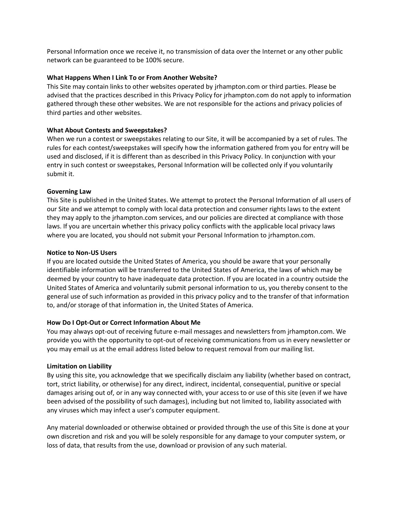Personal Information once we receive it, no transmission of data over the Internet or any other public network can be guaranteed to be 100% secure.

## **What Happens When I Link To or From Another Website?**

This Site may contain links to other websites operated by jrhampton.com or third parties. Please be advised that the practices described in this Privacy Policy for jrhampton.com do not apply to information gathered through these other websites. We are not responsible for the actions and privacy policies of third parties and other websites.

## **What About Contests and Sweepstakes?**

When we run a contest or sweepstakes relating to our Site, it will be accompanied by a set of rules. The rules for each contest/sweepstakes will specify how the information gathered from you for entry will be used and disclosed, if it is different than as described in this Privacy Policy. In conjunction with your entry in such contest or sweepstakes, Personal Information will be collected only if you voluntarily submit it.

## **Governing Law**

This Site is published in the United States. We attempt to protect the Personal Information of all users of our Site and we attempt to comply with local data protection and consumer rights laws to the extent they may apply to the jrhampton.com services, and our policies are directed at compliance with those laws. If you are uncertain whether this privacy policy conflicts with the applicable local privacy laws where you are located, you should not submit your Personal Information to jrhampton.com.

## **Notice to Non-US Users**

If you are located outside the United States of America, you should be aware that your personally identifiable information will be transferred to the United States of America, the laws of which may be deemed by your country to have inadequate data protection. If you are located in a country outside the United States of America and voluntarily submit personal information to us, you thereby consent to the general use of such information as provided in this privacy policy and to the transfer of that information to, and/or storage of that information in, the United States of America.

#### **How Do I Opt-Out or Correct Information About Me**

You may always opt-out of receiving future e-mail messages and newsletters from jrhampton.com. We provide you with the opportunity to opt-out of receiving communications from us in every newsletter or you may email us at the email address listed below to request removal from our mailing list.

#### **Limitation on Liability**

By using this site, you acknowledge that we specifically disclaim any liability (whether based on contract, tort, strict liability, or otherwise) for any direct, indirect, incidental, consequential, punitive or special damages arising out of, or in any way connected with, your access to or use of this site (even if we have been advised of the possibility of such damages), including but not limited to, liability associated with any viruses which may infect a user's computer equipment.

Any material downloaded or otherwise obtained or provided through the use of this Site is done at your own discretion and risk and you will be solely responsible for any damage to your computer system, or loss of data, that results from the use, download or provision of any such material.